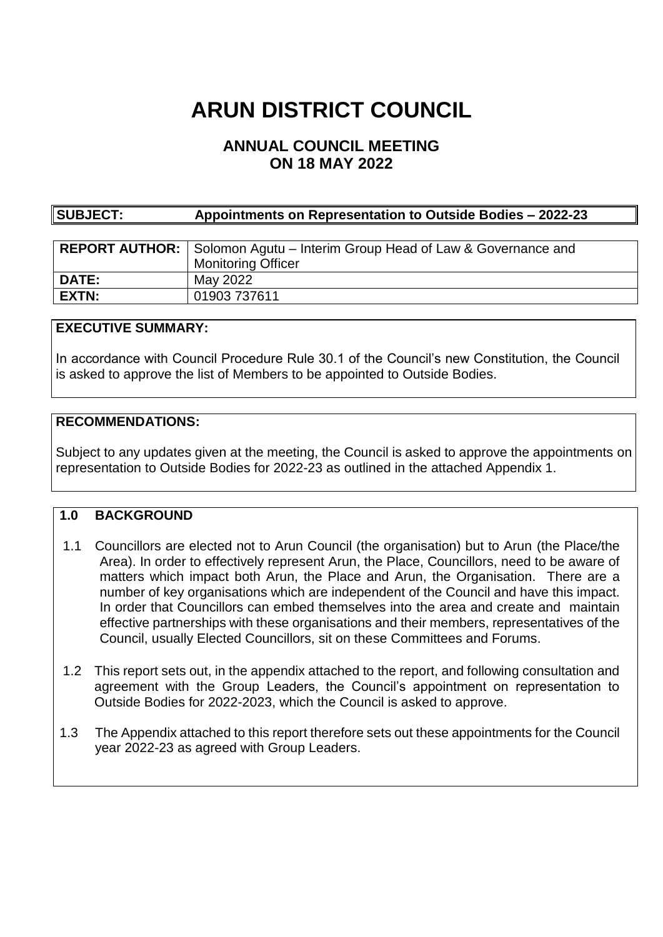# **ARUN DISTRICT COUNCIL**

# **ANNUAL COUNCIL MEETING ON 18 MAY 2022**

| <b>SUBJECT:</b> | Appointments on Representation to Outside Bodies - 2022-23 |
|-----------------|------------------------------------------------------------|
|                 |                                                            |

|              | <b>REPORT AUTHOR:</b> Solomon Agutu – Interim Group Head of Law & Governance and |
|--------------|----------------------------------------------------------------------------------|
|              | <b>Monitoring Officer</b>                                                        |
| <b>DATE:</b> | May 2022                                                                         |
| <b>EXTN:</b> | 01903 737611                                                                     |

## **EXECUTIVE SUMMARY:**

In accordance with Council Procedure Rule 30.1 of the Council's new Constitution, the Council is asked to approve the list of Members to be appointed to Outside Bodies.

## **RECOMMENDATIONS:**

Subject to any updates given at the meeting, the Council is asked to approve the appointments on representation to Outside Bodies for 2022-23 as outlined in the attached Appendix 1.

#### **1.0 BACKGROUND**

- 1.1 Councillors are elected not to Arun Council (the organisation) but to Arun (the Place/the Area). In order to effectively represent Arun, the Place, Councillors, need to be aware of matters which impact both Arun, the Place and Arun, the Organisation. There are a number of key organisations which are independent of the Council and have this impact. In order that Councillors can embed themselves into the area and create and maintain effective partnerships with these organisations and their members, representatives of the Council, usually Elected Councillors, sit on these Committees and Forums.
- 1.2 This report sets out, in the appendix attached to the report, and following consultation and agreement with the Group Leaders, the Council's appointment on representation to Outside Bodies for 2022-2023, which the Council is asked to approve.
- 1.3 The Appendix attached to this report therefore sets out these appointments for the Council year 2022-23 as agreed with Group Leaders.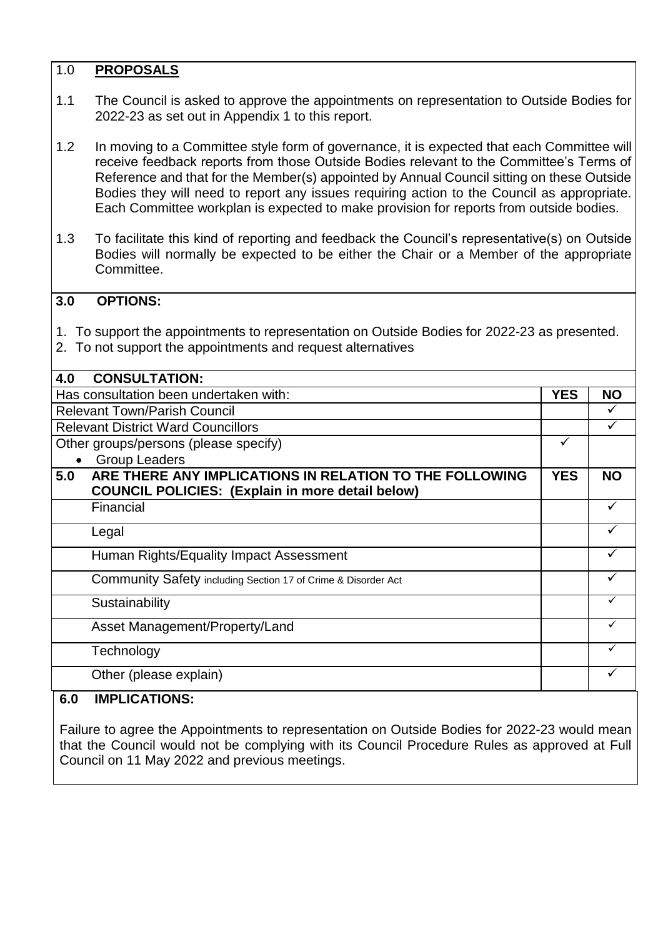## 1.0 **PROPOSALS**

- 1.1 The Council is asked to approve the appointments on representation to Outside Bodies for 2022-23 as set out in Appendix 1 to this report.
- 1.2 In moving to a Committee style form of governance, it is expected that each Committee will receive feedback reports from those Outside Bodies relevant to the Committee's Terms of Reference and that for the Member(s) appointed by Annual Council sitting on these Outside Bodies they will need to report any issues requiring action to the Council as appropriate. Each Committee workplan is expected to make provision for reports from outside bodies.
- 1.3 To facilitate this kind of reporting and feedback the Council's representative(s) on Outside Bodies will normally be expected to be either the Chair or a Member of the appropriate Committee.

## **3.0 OPTIONS:**

- 1. To support the appointments to representation on Outside Bodies for 2022-23 as presented.
- 2. To not support the appointments and request alternatives

| 4.0<br><b>CONSULTATION:</b>                                    |  |           |
|----------------------------------------------------------------|--|-----------|
| Has consultation been undertaken with:                         |  | <b>NO</b> |
| <b>Relevant Town/Parish Council</b>                            |  |           |
| <b>Relevant District Ward Councillors</b>                      |  |           |
| Other groups/persons (please specify)                          |  |           |
| <b>Group Leaders</b>                                           |  |           |
| ARE THERE ANY IMPLICATIONS IN RELATION TO THE FOLLOWING<br>5.0 |  | <b>NO</b> |
| <b>COUNCIL POLICIES: (Explain in more detail below)</b>        |  |           |
| Financial                                                      |  |           |
| Legal                                                          |  |           |
| Human Rights/Equality Impact Assessment                        |  |           |
| Community Safety including Section 17 of Crime & Disorder Act  |  | ✓         |
| Sustainability                                                 |  |           |
| Asset Management/Property/Land                                 |  | ✓         |
| Technology                                                     |  | ✓         |
| Other (please explain)                                         |  |           |
|                                                                |  |           |

## **6.0 IMPLICATIONS:**

Failure to agree the Appointments to representation on Outside Bodies for 2022-23 would mean that the Council would not be complying with its Council Procedure Rules as approved at Full Council on 11 May 2022 and previous meetings.